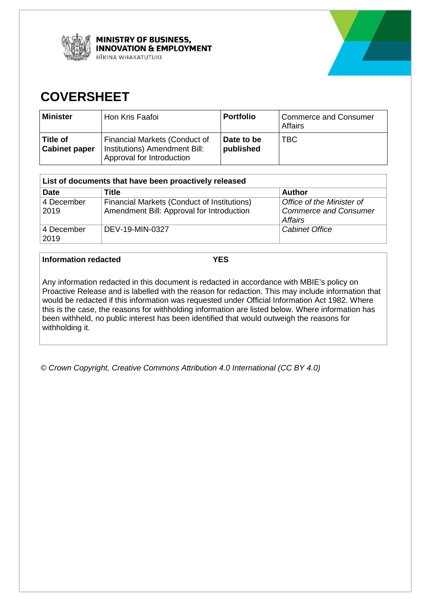



# **COVERSHEET**

| <b>Minister</b>                  | Hon Kris Faafoi                                                                             | <b>Portfolio</b>        | <b>Commerce and Consumer</b><br>Affairs |
|----------------------------------|---------------------------------------------------------------------------------------------|-------------------------|-----------------------------------------|
| Title of<br><b>Cabinet paper</b> | Financial Markets (Conduct of<br>Institutions) Amendment Bill:<br>Approval for Introduction | Date to be<br>published | TBC.                                    |

| List of documents that have been proactively released |                                                                                          |                                                                      |  |
|-------------------------------------------------------|------------------------------------------------------------------------------------------|----------------------------------------------------------------------|--|
| <b>Date</b>                                           | Title                                                                                    | <b>Author</b>                                                        |  |
| 4 December<br>2019                                    | Financial Markets (Conduct of Institutions)<br>Amendment Bill: Approval for Introduction | Office of the Minister of<br><b>Commerce and Consumer</b><br>Affairs |  |
| 4 December<br>2019                                    | DEV-19-MIN-0327                                                                          | <b>Cabinet Office</b>                                                |  |

#### **Information redacted YES**

Any information redacted in this document is redacted in accordance with MBIE's policy on Proactive Release and is labelled with the reason for redaction. This may include information that would be redacted if this information was requested under Official Information Act 1982. Where this is the case, the reasons for withholding information are listed below. Where information has been withheld, no public interest has been identified that would outweigh the reasons for withholding it.

*© Crown Copyright, Creative Commons Attribution 4.0 International (CC BY 4.0)*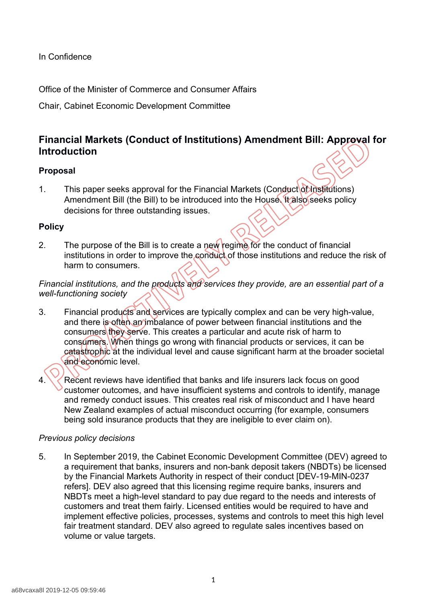In Confidence

Office of the Minister of Commerce and Consumer Affairs

Chair, Cabinet Economic Development Committee

# **Financial Markets (Conduct of Institutions) Amendment Bill: Approval for Introduction**

# **Proposal**

1. This paper seeks approval for the Financial Markets (Conduct of Institutions) Amendment Bill (the Bill) to be introduced into the House. It also seeks policy decisions for three outstanding issues.

# **Policy**

2. The purpose of the Bill is to create a new regime for the conduct of financial institutions in order to improve the conduct of those institutions and reduce the risk of harm to consumers.

*Financial institutions, and the products and services they provide, are an essential part of a well-functioning society*

- 3. Financial products and services are typically complex and can be very high-value, and there is often an imbalance of power between financial institutions and the consumers they serve. This creates a particular and acute risk of harm to consumers. When things go wrong with financial products or services, it can be catastrophic at the individual level and cause significant harm at the broader societal and economic level.
- Recent reviews have identified that banks and life insurers lack focus on good customer outcomes, and have insufficient systems and controls to identify, manage and remedy conduct issues. This creates real risk of misconduct and I have heard New Zealand examples of actual misconduct occurring (for example, consumers being sold insurance products that they are ineligible to ever claim on).

# *Previous policy decisions*

5. In September 2019, the Cabinet Economic Development Committee (DEV) agreed to a requirement that banks, insurers and non-bank deposit takers (NBDTs) be licensed by the Financial Markets Authority in respect of their conduct [DEV-19-MIN-0237 refers]. DEV also agreed that this licensing regime require banks, insurers and NBDTs meet a high-level standard to pay due regard to the needs and interests of customers and treat them fairly. Licensed entities would be required to have and implement effective policies, processes, systems and controls to meet this high level fair treatment standard. DEV also agreed to regulate sales incentives based on volume or value targets.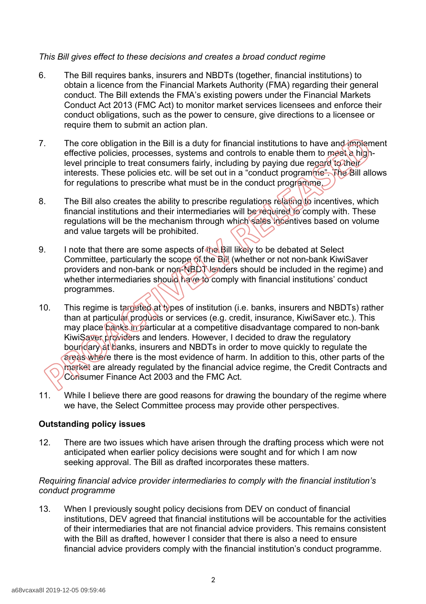### *This Bill gives effect to these decisions and creates a broad conduct regime*

- 6. The Bill requires banks, insurers and NBDTs (together, financial institutions) to obtain a licence from the Financial Markets Authority (FMA) regarding their general conduct. The Bill extends the FMA's existing powers under the Financial Markets Conduct Act 2013 (FMC Act) to monitor market services licensees and enforce their conduct obligations, such as the power to censure, give directions to a licensee or require them to submit an action plan.
- 7. The core obligation in the Bill is a duty for financial institutions to have and implement effective policies, processes, systems and controls to enable them to meet a highlevel principle to treat consumers fairly, including by paying due regard to their interests. These policies etc. will be set out in a "conduct programme". The Bill allows for regulations to prescribe what must be in the conduct programme.
- 8. The Bill also creates the ability to prescribe regulations relating to incentives, which financial institutions and their intermediaries will be required to comply with. These regulations will be the mechanism through which sales incentives based on volume and value targets will be prohibited.
- 9. I note that there are some aspects of the Bill likely to be debated at Select Committee, particularly the scope of the Bill (whether or not non-bank KiwiSaver providers and non-bank or non-NBDT lenders should be included in the regime) and whether intermediaries should have to comply with financial institutions' conduct programmes.
- 10. This regime is targeted at types of institution (i.e. banks, insurers and NBDTs) rather than at particular products or services (e.g. credit, insurance, KiwiSaver etc.). This may place banks in particular at a competitive disadvantage compared to non-bank KiwiSaver providers and lenders. However, I decided to draw the regulatory boundary at banks, insurers and NBDTs in order to move quickly to regulate the areas where there is the most evidence of harm. In addition to this, other parts of the market are already regulated by the financial advice regime, the Credit Contracts and Consumer Finance Act 2003 and the FMC Act.
- 11. While I believe there are good reasons for drawing the boundary of the regime where we have, the Select Committee process may provide other perspectives.

#### **Outstanding policy issues**

12. There are two issues which have arisen through the drafting process which were not anticipated when earlier policy decisions were sought and for which I am now seeking approval. The Bill as drafted incorporates these matters.

### *Requiring financial advice provider intermediaries to comply with the financial institution's conduct programme*

13. When I previously sought policy decisions from DEV on conduct of financial institutions, DEV agreed that financial institutions will be accountable for the activities of their intermediaries that are not financial advice providers. This remains consistent with the Bill as drafted, however I consider that there is also a need to ensure financial advice providers comply with the financial institution's conduct programme.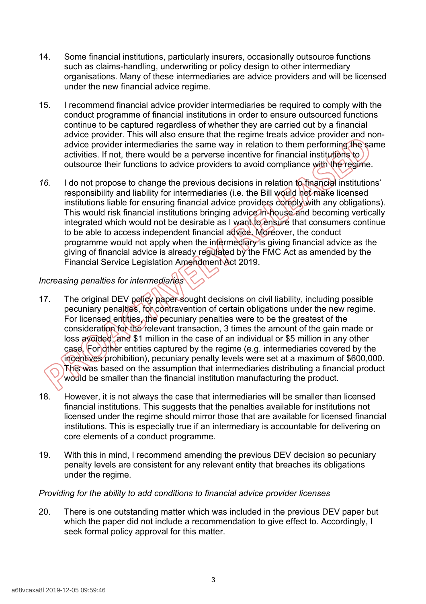- 14. Some financial institutions, particularly insurers, occasionally outsource functions such as claims-handling, underwriting or policy design to other intermediary organisations. Many of these intermediaries are advice providers and will be licensed under the new financial advice regime.
- 15. I recommend financial advice provider intermediaries be required to comply with the conduct programme of financial institutions in order to ensure outsourced functions continue to be captured regardless of whether they are carried out by a financial advice provider. This will also ensure that the regime treats advice provider and nonadvice provider intermediaries the same way in relation to them performing the same activities. If not, there would be a perverse incentive for financial institutions to outsource their functions to advice providers to avoid compliance with the regime.
- *16.* I do not propose to change the previous decisions in relation to financial institutions' responsibility and liability for intermediaries (i.e. the Bill would not make licensed institutions liable for ensuring financial advice providers comply with any obligations). This would risk financial institutions bringing advice in-house and becoming vertically integrated which would not be desirable as I want to ensure that consumers continue to be able to access independent financial advice. Moreover, the conduct programme would not apply when the intermediary is giving financial advice as the giving of financial advice is already regulated by the FMC Act as amended by the Financial Service Legislation Amendment Act 2019.

### *Increasing penalties for intermediaries*

- 17. The original DEV policy paper sought decisions on civil liability, including possible pecuniary penalties, for contravention of certain obligations under the new regime. For licensed entities, the pecuniary penalties were to be the greatest of the consideration for the relevant transaction, 3 times the amount of the gain made or loss avoided, and \$1 million in the case of an individual or \$5 million in any other case. For other entities captured by the regime (e.g. intermediaries covered by the incentives prohibition), pecuniary penalty levels were set at a maximum of \$600,000. This was based on the assumption that intermediaries distributing a financial product would be smaller than the financial institution manufacturing the product.
- 18. However, it is not always the case that intermediaries will be smaller than licensed financial institutions. This suggests that the penalties available for institutions not licensed under the regime should mirror those that are available for licensed financial institutions. This is especially true if an intermediary is accountable for delivering on core elements of a conduct programme.
- 19. With this in mind, I recommend amending the previous DEV decision so pecuniary penalty levels are consistent for any relevant entity that breaches its obligations under the regime.

#### *Providing for the ability to add conditions to financial advice provider licenses*

20. There is one outstanding matter which was included in the previous DEV paper but which the paper did not include a recommendation to give effect to. Accordingly, I seek formal policy approval for this matter.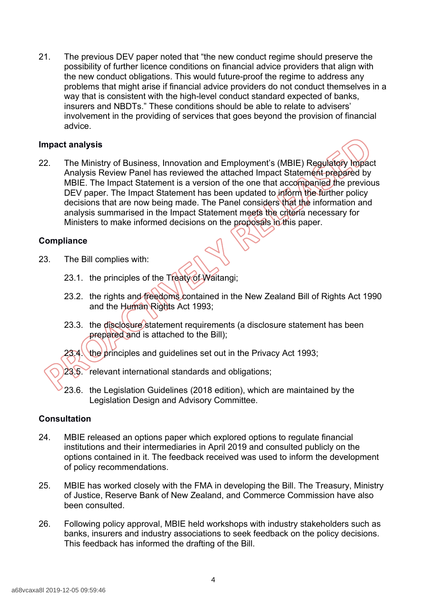21. The previous DEV paper noted that "the new conduct regime should preserve the possibility of further licence conditions on financial advice providers that align with the new conduct obligations. This would future-proof the regime to address any problems that might arise if financial advice providers do not conduct themselves in a way that is consistent with the high-level conduct standard expected of banks, insurers and NBDTs." These conditions should be able to relate to advisers' involvement in the providing of services that goes beyond the provision of financial advice.

#### **Impact analysis**

- 
- 22. The Ministry of Business, Innovation and Employment's (MBIE) Regulatory Impact Analysis Review Panel has reviewed the attached Impact Statement prepared by MBIE. The Impact Statement is a version of the one that accompanied the previous DEV paper. The Impact Statement has been updated to inform the further policy decisions that are now being made. The Panel considers that the information and analysis summarised in the Impact Statement meets the criteria necessary for Ministers to make informed decisions on the proposals in this paper.

#### **Compliance**

- 23. The Bill complies with:
	- 23.1. the principles of the Treaty of Waitangi;
	- 23.2. the rights and freedoms contained in the New Zealand Bill of Rights Act 1990 and the Human Rights Act 1993;
	- 23.3. the disclosure statement requirements (a disclosure statement has been prepared and is attached to the Bill);

23.4. the principles and guidelines set out in the Privacy Act 1993;

- 23.5. relevant international standards and obligations;
- 23.6. the Legislation Guidelines (2018 edition), which are maintained by the Legislation Design and Advisory Committee.

#### **Consultation**

- 24. MBIE released an options paper which explored options to regulate financial institutions and their intermediaries in April 2019 and consulted publicly on the options contained in it. The feedback received was used to inform the development of policy recommendations.
- 25. MBIE has worked closely with the FMA in developing the Bill. The Treasury, Ministry of Justice, Reserve Bank of New Zealand, and Commerce Commission have also been consulted.
- 26. Following policy approval, MBIE held workshops with industry stakeholders such as banks, insurers and industry associations to seek feedback on the policy decisions. This feedback has informed the drafting of the Bill.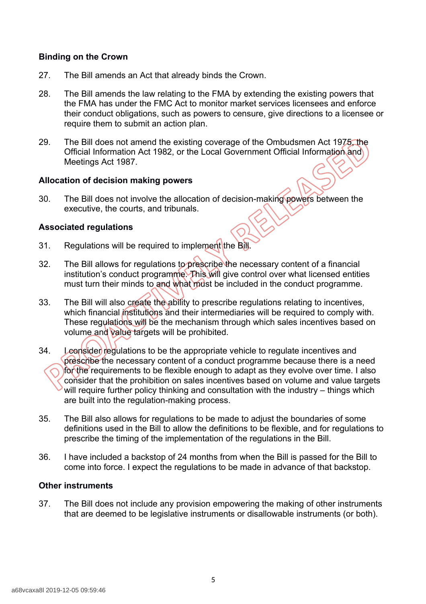### **Binding on the Crown**

- 27. The Bill amends an Act that already binds the Crown.
- 28. The Bill amends the law relating to the FMA by extending the existing powers that the FMA has under the FMC Act to monitor market services licensees and enforce their conduct obligations, such as powers to censure, give directions to a licensee or require them to submit an action plan.
- 29. The Bill does not amend the existing coverage of the Ombudsmen Act 1975, the Official Information Act 1982, or the Local Government Official Information and Meetings Act 1987.

#### **Allocation of decision making powers**

30. The Bill does not involve the allocation of decision-making powers between the executive, the courts, and tribunals.

#### **Associated regulations**

- 31. Regulations will be required to implement the Bill.
- 32. The Bill allows for regulations to prescribe the necessary content of a financial institution's conduct programme. This will give control over what licensed entities must turn their minds to and what must be included in the conduct programme.
- 33. The Bill will also create the ability to prescribe regulations relating to incentives, which financial institutions and their intermediaries will be required to comply with. These regulations will be the mechanism through which sales incentives based on volume and value targets will be prohibited.
- 34. Leonsider regulations to be the appropriate vehicle to regulate incentives and prescribe the necessary content of a conduct programme because there is a need for the requirements to be flexible enough to adapt as they evolve over time. I also consider that the prohibition on sales incentives based on volume and value targets will require further policy thinking and consultation with the industry – things which are built into the regulation-making process.
- 35. The Bill also allows for regulations to be made to adjust the boundaries of some definitions used in the Bill to allow the definitions to be flexible, and for regulations to prescribe the timing of the implementation of the regulations in the Bill.
- 36. I have included a backstop of 24 months from when the Bill is passed for the Bill to come into force. I expect the regulations to be made in advance of that backstop.

#### **Other instruments**

37. The Bill does not include any provision empowering the making of other instruments that are deemed to be legislative instruments or disallowable instruments (or both).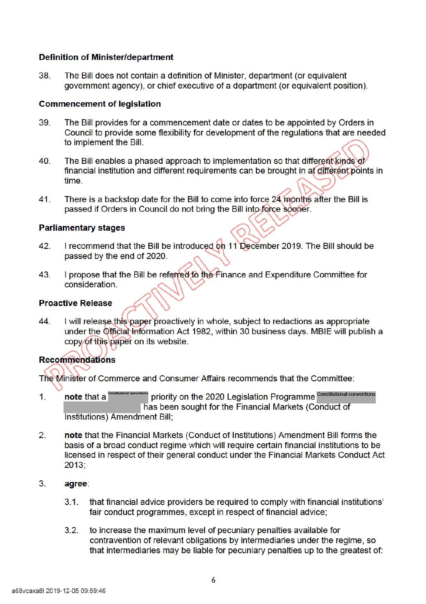## **Definition of Minister/department**

38. The Bill does not contain a definition of Minister, department (or equivalent government agency), or chief executive of a department (or equivalent position).

#### **Commencement of legislation**

- 39. The Bill provides for a commencement date or dates to be appointed by Orders in Council to provide some flexibility for development of the regulations that are needed to implement the Bill.
- 40. The Bill enables a phased approach to implementation so that different kinds of financial institution and different requirements can be brought in at different points in time.
- 41. There is a backstop date for the Bill to come into force 24 months after the Bill is passed if Orders in Council do not bring the Bill into force sooner.<br>**Parliamentary stages**

- 42. I recommend that the Bill be introduced on 11 December 2019. The Bill should be passed by the end of 2020.
- 43. I propose that the Bill be referred to the Finance and Expenditure Committee for consideration.

#### **Proactive Release**

**44.**  I will release this paper proactively in whole, subject to redactions as appropriate under the Official Information Act 1982, within 30 business days. MBIE will publish a copy of this paper on its website.

# **Recommendations**

The Minister of Commerce and Consumer Affairs recommends that the Committee:

- 1. note that a <sup>Constitutional conventions</sup> priority on the 2020 Legislation Programme Constitutional conventions has been sought for the Financial Markets (Conduct of Institutions) Amendment Bill;
- 2. **note** that the Financial Markets (Conduct of Institutions) Amendment Bill forms the basis of a broad conduct regime which will require certain financial institutions to be licensed in respect of their general conduct under the Financial Markets Conduct Act 2013;
- 3. **agree:** 
	- 3.1. that financial advice providers be required to comply with financial institutions' fair conduct programmes, except in respect of financial advice;
	- 3.2. to increase the maximum level of pecuniary penalties available for contravention of relevant obligations by intermediaries under the regime, so that intermediaries may be liable for pecuniary penalties up to the greatest of: